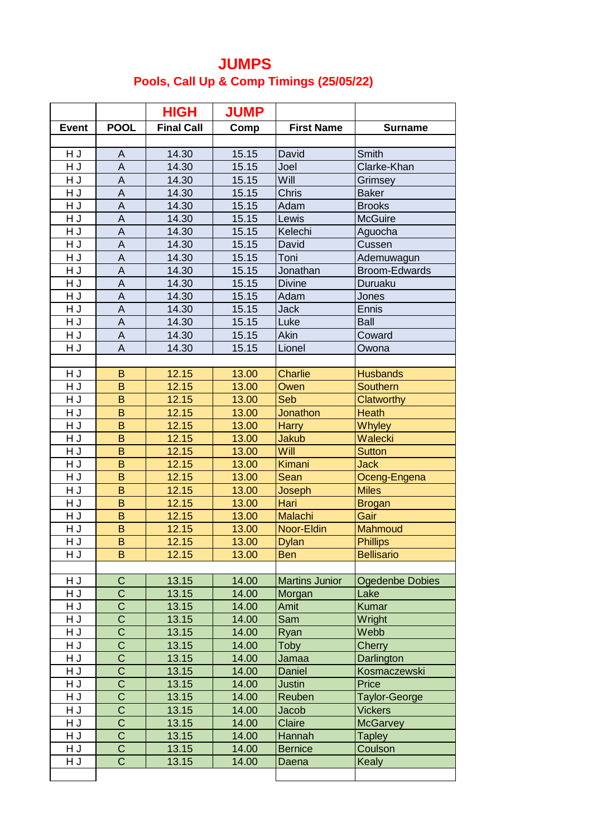## **JUMPS Pools, Call Up & Comp Timings (25/05/22)**

|              |                               | <b>HIGH</b>       | <b>JUMP</b>    |                       |                        |
|--------------|-------------------------------|-------------------|----------------|-----------------------|------------------------|
| <b>Event</b> | <b>POOL</b>                   | <b>Final Call</b> | Comp           | <b>First Name</b>     | <b>Surname</b>         |
|              |                               |                   |                |                       |                        |
| H J          | A                             | 14.30             | 15.15          | David                 | Smith                  |
| H J          | $\boldsymbol{\mathsf{A}}$     | 14.30             | 15.15          | Joel                  | Clarke-Khan            |
| HJ           | $\sf A$                       | 14.30             | 15.15          | Will                  | Grimsey                |
| H J          | $\boldsymbol{\mathsf{A}}$     | 14.30             | 15.15          | <b>Chris</b>          | <b>Baker</b>           |
| HJ           | A                             | 14.30             | 15.15          | Adam                  | <b>Brooks</b>          |
| HJ           | $\boldsymbol{\mathsf{A}}$     | 14.30             | 15.15          | Lewis                 | <b>McGuire</b>         |
| H J          | A                             | 14.30             | 15.15          | Kelechi               | Aguocha                |
| H J          | $\boldsymbol{\mathsf{A}}$     | 14.30             | 15.15          | David                 | Cussen                 |
| HJ           | $\overline{\mathsf{A}}$       | 14.30             | 15.15          | Toni                  | Ademuwagun             |
| HJ           | $\mathsf A$                   | 14.30             | 15.15          | Jonathan              | Broom-Edwards          |
| HJ           | $\overline{A}$                | 14.30             | 15.15          | <b>Divine</b>         | Duruaku                |
| HJ           | $\boldsymbol{\mathsf{A}}$     | 14.30             | 15.15          | Adam                  | Jones                  |
| H J          | $\overline{A}$                | 14.30             | 15.15          | <b>Jack</b>           | Ennis                  |
| HJ           | A                             | 14.30             | 15.15          | Luke                  | <b>Ball</b>            |
| $\sf H$ J    | A                             | 14.30             | 15.15          | Akin                  | Coward                 |
| HJ           | A                             | 14.30             | 15.15          | Lionel                | Owona                  |
|              |                               |                   |                |                       |                        |
| H J          | B                             | 12.15             | 13.00          | <b>Charlie</b>        | <b>Husbands</b>        |
| HJ           | B                             | 12.15             | 13.00          | Owen                  | Southern               |
| H J          | B                             | 12.15             | 13.00          | Seb                   | Clatworthy             |
| HJ           | $\sf B$                       | 12.15             | 13.00          | <b>Jonathon</b>       | <b>Heath</b>           |
| H J          | B                             | 12.15             | 13.00          | <b>Harry</b>          | <b>Whyley</b>          |
| H J          | B                             | 12.15             | 13.00          | <b>Jakub</b>          | Walecki                |
| HJ           | B                             | 12.15             | 13.00          | Will                  | <b>Sutton</b>          |
| HJ           | B                             | 12.15             | 13.00          | Kimani                | <b>Jack</b>            |
| HJ           | B                             | 12.15             | 13.00          | Sean                  | Oceng-Engena           |
| HJ           | $\overline{B}$                | 12.15             | 13.00          | Joseph                | <b>Miles</b>           |
| H J          | B                             | 12.15             | 13.00          | Hari                  | <b>Brogan</b>          |
| HJ           | $\mathsf B$                   | 12.15             | 13.00          | <b>Malachi</b>        | Gair                   |
| HJ           | B                             | 12.15             | 13.00          | Noor-Eldin            | Mahmoud                |
| HJ           | B                             | 12.15             | 13.00          | <b>Dylan</b>          | <b>Phillips</b>        |
| H J          | B                             | 12.15             | 13.00          | <b>Ben</b>            | <b>Bellisario</b>      |
|              |                               |                   |                |                       |                        |
| H J          | $\mathsf C$<br>$\overline{C}$ | 13.15             | 14.00          | <b>Martins Junior</b> | <b>Ogedenbe Dobies</b> |
| H J<br>HJ    | $\overline{\text{c}}$         | 13.15             | 14.00          | Morgan                | Lake                   |
| H J          | $\overline{\text{c}}$         | 13.15<br>13.15    | 14.00<br>14.00 | Amit<br>Sam           | Kumar<br>Wright        |
| H J          | $\overline{\text{C}}$         | 13.15             | 14.00          | Ryan                  | Webb                   |
| HJ           | $\overline{\text{c}}$         | 13.15             | 14.00          | Toby                  | Cherry                 |
| H J          | $\overline{\text{c}}$         | 13.15             | 14.00          | Jamaa                 | Darlington             |
| H J          | $\overline{\text{c}}$         | 13.15             | 14.00          | Daniel                | Kosmaczewski           |
| $\sf H$ J    | $\overline{\text{c}}$         | 13.15             | 14.00          | <b>Justin</b>         | Price                  |
| H J          | $\overline{\text{c}}$         | 13.15             | 14.00          | Reuben                | <b>Taylor-George</b>   |
| HJ           | $\overline{\text{C}}$         | 13.15             | 14.00          | Jacob                 | <b>Vickers</b>         |
| H J          | $\overline{\text{c}}$         | 13.15             | 14.00          | Claire                | <b>McGarvey</b>        |
| H J          | $\overline{\text{c}}$         | 13.15             | 14.00          | Hannah                | <b>Tapley</b>          |
| HJ           | $\overline{C}$                | 13.15             | 14.00          | <b>Bernice</b>        | Coulson                |
| HJ           | $\overline{C}$                | 13.15             | 14.00          | Daena                 | <b>Kealy</b>           |
|              |                               |                   |                |                       |                        |
|              |                               |                   |                |                       |                        |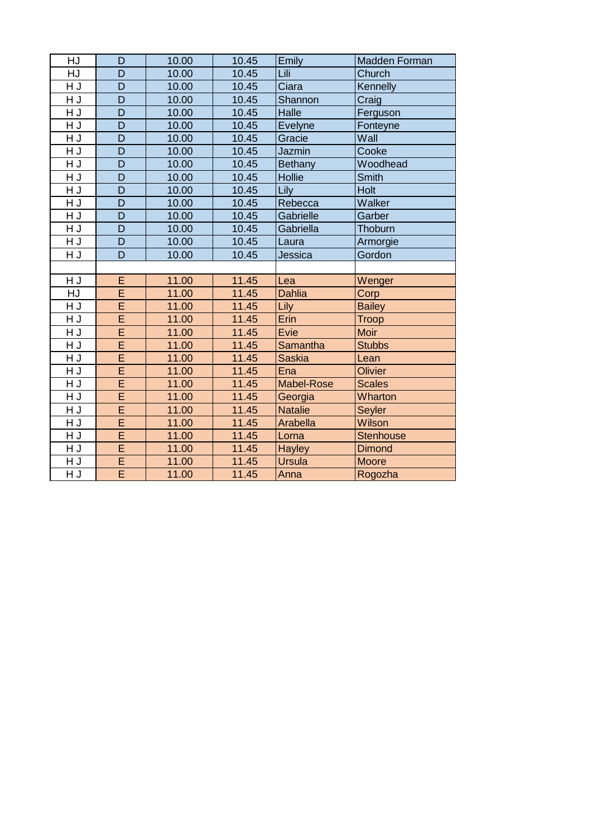| HJ        | D              | 10.00 | 10.45 | Emily             | Madden Forman    |
|-----------|----------------|-------|-------|-------------------|------------------|
| HJ        | D              | 10.00 | 10.45 | Lili              | Church           |
| HJ        | D              | 10.00 | 10.45 | Ciara             | Kennelly         |
| HJ        | D              | 10.00 | 10.45 | Shannon           | Craig            |
| H J       | D              | 10.00 | 10.45 | Halle             | Ferguson         |
| H J       | D              | 10.00 | 10.45 | <b>Evelyne</b>    | Fonteyne         |
| H J       | D              | 10.00 | 10.45 | Gracie            | Wall             |
| HJ        | D              | 10.00 | 10.45 | Jazmin            | Cooke            |
| $\sf H$ J | D              | 10.00 | 10.45 | <b>Bethany</b>    | Woodhead         |
| HJ        | $\overline{D}$ | 10.00 | 10.45 | Hollie            | Smith            |
| H J       | D              | 10.00 | 10.45 | <b>Lily</b>       | Holt             |
| HJ        | $\overline{D}$ | 10.00 | 10.45 | Rebecca           | Walker           |
| H J       | D              | 10.00 | 10.45 | Gabrielle         | Garber           |
| HJ        | D              | 10.00 | 10.45 | Gabriella         | Thoburn          |
| HJ        | $\overline{D}$ | 10.00 | 10.45 | Laura             | Armorgie         |
| H J       | D              | 10.00 | 10.45 | Jessica           | Gordon           |
|           |                |       |       |                   |                  |
| HJ        | E              | 11.00 | 11.45 | Lea               | Wenger           |
| <b>HJ</b> | Ē              | 11.00 | 11.45 | <b>Dahlia</b>     | Corp             |
| HJ        | Ē              | 11.00 | 11.45 | Lily              | <b>Bailey</b>    |
| H J       | Ē              | 11.00 | 11.45 | Erin              | <b>Troop</b>     |
| HJ        | Ē              | 11.00 | 11.45 | Evie              | <b>Moir</b>      |
| HJ        | Ē              | 11.00 | 11.45 | Samantha          | <b>Stubbs</b>    |
| HJ        | Ē              | 11.00 | 11.45 | <b>Saskia</b>     | Lean             |
| HJ        | Ē              | 11.00 | 11.45 | Ena               | Olivier          |
| HJ        | E              | 11.00 | 11.45 | <b>Mabel-Rose</b> | <b>Scales</b>    |
| HJ        | Ē              | 11.00 | 11.45 | Georgia           | Wharton          |
| HJ        | Ē              | 11.00 | 11.45 | <b>Natalie</b>    | Seyler           |
| HJ        | E              | 11.00 | 11.45 | <b>Arabella</b>   | Wilson           |
| H J       | Ē              | 11.00 | 11.45 | Lorna             | <b>Stenhouse</b> |
| HJ        | E              | 11.00 | 11.45 | <b>Hayley</b>     | <b>Dimond</b>    |
| H J       | Ē              | 11.00 | 11.45 | <b>Ursula</b>     | <b>Moore</b>     |
| HJ        | $\overline{E}$ | 11.00 | 11.45 | Anna              | Rogozha          |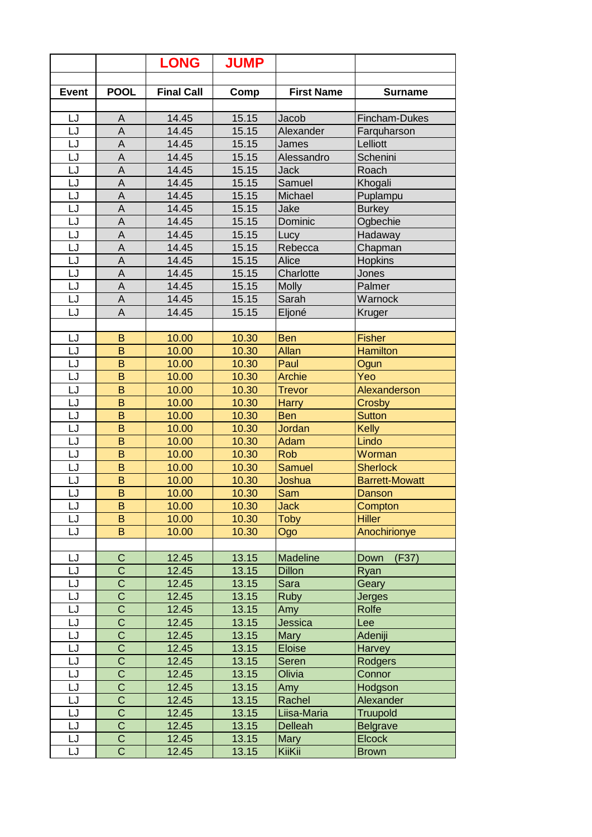|              |                                                | <b>LONG</b>       | <b>JUMP</b>    |                               |                           |
|--------------|------------------------------------------------|-------------------|----------------|-------------------------------|---------------------------|
|              |                                                |                   |                |                               |                           |
| <b>Event</b> | <b>POOL</b>                                    | <b>Final Call</b> | Comp           | <b>First Name</b>             | <b>Surname</b>            |
| LJ           | A                                              | 14.45             | 15.15          | Jacob                         | Fincham-Dukes             |
| LJ           | A                                              | 14.45             | 15.15          | Alexander                     | Farguharson               |
| LJ           | A                                              | 14.45             | 15.15          | James                         | Lelliott                  |
| LJ           | A                                              | 14.45             | 15.15          | Alessandro                    | Schenini                  |
| LJ           | $\boldsymbol{\mathsf{A}}$                      | 14.45             | 15.15          | Jack                          | Roach                     |
| LJ           | A                                              | 14.45             | 15.15          | Samuel                        | Khogali                   |
| LJ           | A                                              | 14.45             | 15.15          | Michael                       | Puplampu                  |
| LJ           | A                                              | 14.45             | 15.15          | Jake                          | <b>Burkey</b>             |
| LJ           | A                                              | 14.45             | 15.15          | Dominic                       | Ogbechie                  |
| LJ           | A                                              | 14.45             | 15.15          | Lucy                          | Hadaway                   |
| LJ           | A                                              | 14.45             | 15.15          | Rebecca                       | Chapman                   |
| LJ           | A                                              | 14.45             | 15.15          | Alice                         | <b>Hopkins</b>            |
| LJ           | A                                              | 14.45             | 15.15          | Charlotte                     | Jones                     |
| LJ           | A                                              | 14.45             | 15.15          | <b>Molly</b>                  | Palmer                    |
| LJ           | A                                              | 14.45             | 15.15          | Sarah                         | Warnock                   |
| LJ           | A                                              | 14.45             | 15.15          | Eljoné                        | Kruger                    |
|              |                                                |                   |                |                               |                           |
| LJ           | B                                              | 10.00             | 10.30          | <b>Ben</b>                    | <b>Fisher</b>             |
| LJ           | B                                              | 10.00             | 10.30          | Allan                         | <b>Hamilton</b>           |
| LJ           | $\mathsf B$                                    | 10.00             | 10.30          | Paul                          | Ogun                      |
| LJ           | B                                              | 10.00             | 10.30          | <b>Archie</b>                 | Yeo                       |
| LJ           | B                                              | 10.00             | 10.30          | <b>Trevor</b>                 | Alexanderson              |
| LJ           | B                                              | 10.00             | 10.30          | <b>Harry</b>                  | Crosby                    |
| LJ           | B                                              | 10.00             | 10.30          | <b>Ben</b>                    | <b>Sutton</b>             |
| LJ           | B                                              | 10.00             | 10.30          | Jordan                        | <b>Kelly</b>              |
| LJ           | B                                              | 10.00             | 10.30          | Adam                          | Lindo                     |
| LJ           | B                                              | 10.00             | 10.30          | <b>Rob</b>                    | Worman                    |
| LJ           | B                                              | 10.00             | 10.30          | <b>Samuel</b>                 | <b>Sherlock</b>           |
| LJ           | B                                              | 10.00             | 10.30          | Joshua                        | <b>Barrett-Mowatt</b>     |
| LJ           | B                                              | 10.00             | 10.30          | Sam                           | <b>Danson</b>             |
| LJ           | B                                              | 10.00             | 10.30          | <b>Jack</b>                   | Compton                   |
| LJ           | B                                              | 10.00             | 10.30          | <b>Toby</b>                   | <b>Hiller</b>             |
| LJ           | B                                              | 10.00             | 10.30          | Ogo                           | Anochirionye              |
|              |                                                |                   |                |                               |                           |
| LJ           | $\mathsf C$                                    | 12.45             | 13.15          | <b>Madeline</b>               | (F37)<br>Down             |
| LJ           | $\overline{\text{c}}$                          | 12.45             | 13.15          | <b>Dillon</b>                 | Ryan                      |
| LJ           | $\overline{\text{C}}$                          | 12.45             | 13.15          | Sara                          | Geary                     |
| LJ           | $\overline{\mathsf{C}}$                        | 12.45             | 13.15          | <b>Ruby</b>                   | <b>Jerges</b>             |
| LJ           | $\overline{\text{C}}$                          | 12.45             | 13.15          | Amy                           | Rolfe                     |
| LJ           | $\overline{\text{C}}$                          | 12.45             | 13.15          | Jessica                       | Lee                       |
| LJ           | $\overline{\text{C}}$                          | 12.45             | 13.15          | <b>Mary</b>                   | Adeniji                   |
| LJ           | $\overline{\text{c}}$<br>$\overline{\text{c}}$ | 12.45             | 13.15          | <b>Eloise</b>                 | Harvey                    |
| LJ<br>LJ     | $\overline{\text{C}}$                          | 12.45             | 13.15          | Seren                         | <b>Rodgers</b>            |
|              | $\overline{\text{C}}$                          | 12.45             | 13.15          | Olivia                        | Connor                    |
| LJ           | $\mathsf C$                                    | 12.45             | 13.15          | Amy                           | Hodgson                   |
| LJ<br>LJ     | $\overline{\text{c}}$                          | 12.45             | 13.15          | Rachel                        | Alexander                 |
| LJ           | $\overline{\text{c}}$                          | 12.45<br>12.45    | 13.15<br>13.15 | Liisa-Maria<br><b>Delleah</b> | <b>Truupold</b>           |
|              | $\mathsf C$                                    | 12.45             | 13.15          |                               | Belgrave<br><b>Elcock</b> |
| LJ<br>LJ     | $\overline{\text{c}}$                          |                   |                | <b>Mary</b>                   |                           |
|              |                                                | 12.45             | 13.15          | KiiKii                        | <b>Brown</b>              |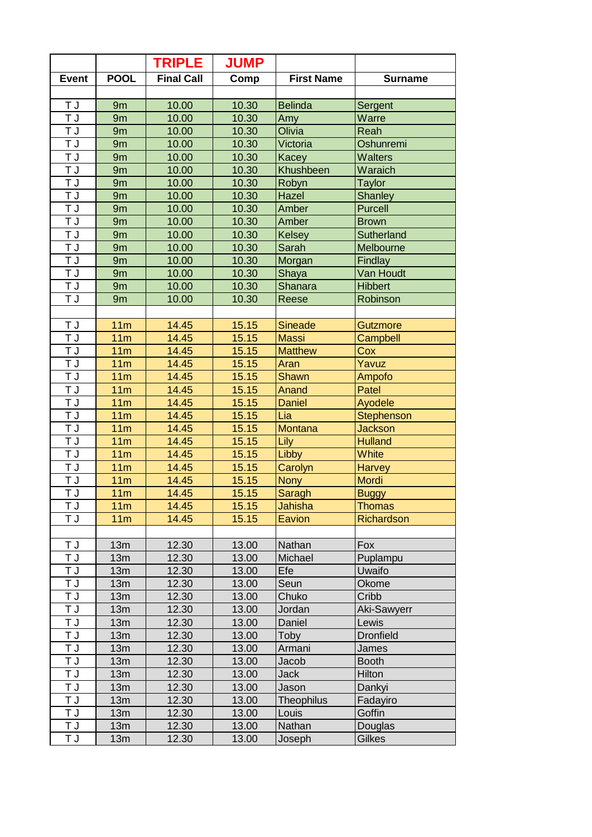|                           |                 | <b>TRIPLE</b>     | <b>JUMP</b>    |                   |                        |
|---------------------------|-----------------|-------------------|----------------|-------------------|------------------------|
| <b>Event</b>              | <b>POOL</b>     | <b>Final Call</b> | Comp           | <b>First Name</b> | <b>Surname</b>         |
|                           |                 |                   |                |                   |                        |
| T J                       | 9m              | 10.00             | 10.30          | <b>Belinda</b>    | Sergent                |
| T J                       | 9m              | 10.00             | 10.30          | Amy               | Warre                  |
| T J                       | 9m              | 10.00             | 10.30          | Olivia            | Reah                   |
| T J                       | 9m              | 10.00             | 10.30          | Victoria          | Oshunremi              |
| T J                       | 9 <sub>m</sub>  | 10.00             | 10.30          | Kacey             | <b>Walters</b>         |
| T J                       | 9m              | 10.00             | 10.30          | Khushbeen         | Waraich                |
| ΤJ                        | 9m              | 10.00             | 10.30          | Robyn             | <b>Taylor</b>          |
| T J                       | 9m              | 10.00             | 10.30          | Hazel             | Shanley                |
| ΤJ                        | 9m              | 10.00             | 10.30          | Amber             | <b>Purcell</b>         |
| ΤJ                        | 9m              | 10.00             | 10.30          | Amber             | <b>Brown</b>           |
| T J                       | 9m              | 10.00             | 10.30          | <b>Kelsey</b>     | Sutherland             |
| T J                       | 9m              | 10.00             | 10.30          | Sarah             | Melbourne              |
| $\overline{\mathsf{T}}$ J | 9m              | 10.00             | 10.30          | Morgan            | <b>Findlay</b>         |
| T J                       | 9m              | 10.00             | 10.30          | Shaya             | Van Houdt              |
| T J                       | 9m              | 10.00             | 10.30          | Shanara           | <b>Hibbert</b>         |
| T J                       | 9m              | 10.00             | 10.30          | Reese             | Robinson               |
|                           |                 |                   |                |                   |                        |
| T J                       | 11m             | 14.45             | 15.15          | <b>Sineade</b>    | Gutzmore               |
| $\overline{\mathsf{T}}$ J | 11m             | 14.45             | 15.15          | <b>Massi</b>      | Campbell               |
| T J                       | 11m             | 14.45             | 15.15          | <b>Matthew</b>    | Cox                    |
| ĪJ                        | 11 <sub>m</sub> | 14.45             | 15.15          | Aran              | Yavuz                  |
| T J                       | 11 <sub>m</sub> | 14.45             | 15.15          | <b>Shawn</b>      | Ampofo                 |
| T J                       | 11m             | 14.45             | 15.15          | Anand             | Patel                  |
| T J                       | 11 <sub>m</sub> | 14.45             | 15.15          | <b>Daniel</b>     | Ayodele                |
| T J                       | 11m             | 14.45             | 15.15          | Lia               | Stephenson             |
| T J                       | 11m             | 14.45             | 15.15          | Montana           | <b>Jackson</b>         |
| T J                       | 11 <sub>m</sub> | 14.45             | 15.15          | Lily              | <b>Hulland</b>         |
| T J                       | 11 <sub>m</sub> | 14.45             | 15.15          | Libby             | <b>White</b>           |
| T J                       | 11m             | 14.45             | 15.15          | Carolyn           | <b>Harvey</b>          |
| T J                       | 11m             | 14.45             | 15.15          | Nony              | Mordi                  |
| T J                       | 11 <sub>m</sub> | 14.45             | 15.15          | Saragh            | <b>Buggy</b>           |
| ΤJ                        | 11m             | 14.45             | 15.15          | Jahisha           | <b>Thomas</b>          |
| ŦJ                        | 11 <sub>m</sub> | 14.45             | 15.15          | Eavion            | Richardson             |
|                           |                 |                   |                |                   |                        |
| T J                       | 13m             | 12.30             | 13.00          | Nathan            | Fox                    |
| T J                       | 13m             | 12.30             | 13.00          | Michael           | Puplampu               |
| ΤJ                        | 13m             | 12.30             | 13.00          | Efe               | Uwaifo                 |
| T J                       | 13m             | 12.30             | 13.00          | Seun              | Okome                  |
| T J                       | 13m             | 12.30             | 13.00          | Chuko             | Cribb                  |
| ΤJ                        | 13m             | 12.30             | 13.00          | Jordan            | <b>Aki-Sawyerr</b>     |
| <b>TJ</b>                 | 13m             | 12.30             | 13.00          | Daniel            | Lewis                  |
| L T                       | 13m             | 12.30             | 13.00          |                   | <b>Dronfield</b>       |
| T J                       | 13m             | 12.30             | 13.00          | Toby<br>Armani    |                        |
|                           |                 |                   |                |                   | James                  |
| T J<br>T J                | 13m<br>13m      | 12.30             | 13.00<br>13.00 | Jacob<br>Jack     | <b>Booth</b><br>Hilton |
|                           |                 | 12.30             |                | Jason             |                        |
| ΤJ                        | 13m             | 12.30             | 13.00          |                   | Dankyi                 |
| T J<br>L T                | 13m             | 12.30             | 13.00          | <b>Theophilus</b> | Fadayiro<br>Goffin     |
|                           | 13m             | 12.30             | 13.00          | Louis<br>Nathan   |                        |
| <b>TJ</b>                 | 13m             | 12.30             | 13.00          |                   | Douglas                |
| ΤJ                        | 13m             | 12.30             | 13.00          | Joseph            | Gilkes                 |